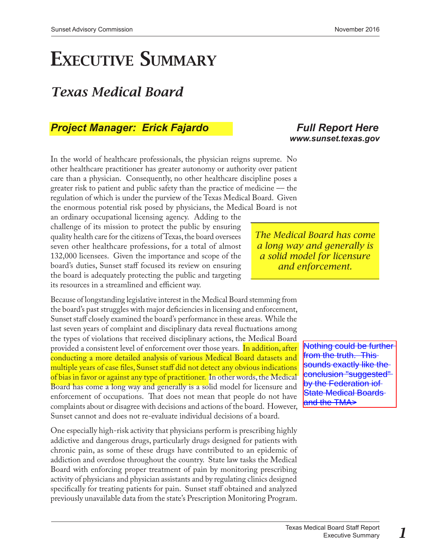## EXECUTIVE SUMMARY

## *Texas Medical Board*

### *Project Manager: Erick Fajardo [Full Report Here](https://www.sunset.texas.gov/public/uploads/files/reports/Texas%20Medical%20Board%20Staff%20Report_11-2-16.pdf)*

In the world of healthcare professionals, the physician reigns supreme. No other healthcare practitioner has greater autonomy or authority over patient care than a physician. Consequently, no other healthcare discipline poses a greater risk to patient and public safety than the practice of medicine –– the regulation of which is under the purview of the Texas Medical Board. Given the enormous potential risk posed by physicians, the Medical Board is not

an ordinary occupational licensing agency. Adding to the challenge of its mission to protect the public by ensuring quality health care for the citizens of Texas, the board oversees seven other healthcare professions, for a total of almost 132,000 licensees. Given the importance and scope of the board's duties, Sunset staff focused its review on ensuring the board is adequately protecting the public and targeting its resources in a streamlined and efficient way.

Because of longstanding legislative interest in the Medical Board stemming from the board's past struggles with major deficiencies in licensing and enforcement, Sunset staff closely examined the board's performance in these areas. While the last seven years of complaint and disciplinary data reveal fluctuations among the types of violations that received disciplinary actions, the Medical Board provided a consistent level of enforcement over those years. In addition, after conducting a more detailed analysis of various Medical Board datasets and multiple years of case files, Sunset staff did not detect any obvious indications of bias in favor or against any type of practitioner. In other words, the Medical Board has come a long way and generally is a solid model for licensure and enforcement of occupations. That does not mean that people do not have complaints about or disagree with decisions and actions of the board. However, Sunset cannot and does not re-evaluate individual decisions of a board.

One especially high-risk activity that physicians perform is prescribing highly addictive and dangerous drugs, particularly drugs designed for patients with chronic pain, as some of these drugs have contributed to an epidemic of addiction and overdose throughout the country. State law tasks the Medical Board with enforcing proper treatment of pain by monitoring prescribing activity of physicians and physician assistants and by regulating clinics designed specifically for treating patients for pain. Sunset staff obtained and analyzed previously unavailable data from the state's Prescription Monitoring Program.

# *[www.sunset.texas.gov](http://www.sunset.texas.gov)*

*The Medical Board has come a long way and generally is a solid model for licensure and enforcement.*

> Nothing could be further from the truth. This sounds exactly like the conclusion "suggested" by the Federation iof **State Medical Boards** and the TMA>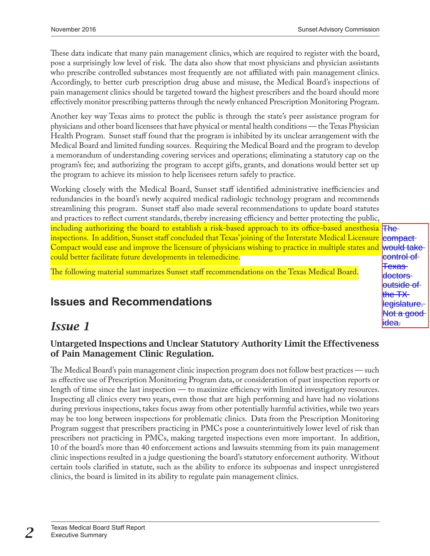These data indicate that many pain management clinics, which are required to register with the board, pose a surprisingly low level of risk. The data also show that most physicians and physician assistants who prescribe controlled substances most frequently are not affiliated with pain management clinics. Accordingly, to better curb prescription drug abuse and misuse, the Medical Board's inspections of pain management clinics should be targeted toward the highest prescribers and the board should more effectively monitor prescribing patterns through the newly enhanced Prescription Monitoring Program.

Another key way Texas aims to protect the public is through the state's peer assistance program for physicians and other board licensees that have physical or mental health conditions –– the Texas Physician Health Program. Sunset staff found that the program is inhibited by its unclear arrangement with the Medical Board and limited funding sources. Requiring the Medical Board and the program to develop a memorandum of understanding covering services and operations; eliminating a statutory cap on the program's fee; and authorizing the program to accept gifts, grants, and donations would better set up the program to achieve its mission to help licensees return safely to practice.

Working closely with the Medical Board, Sunset staff identified administrative inefficiencies and redundancies in the board's newly acquired medical radiologic technology program and recommends streamlining this program. Sunset staff also made several recommendations to update board statutes and practices to reflect current standards, thereby increasing efficiency and better protecting the public, including authorizing the board to establish a risk-based approach to its office-based anesthesia The inspections. In addition, Sunset staff concluded that Texas' joining of the Interstate Medical Licensure <mark>|compact</mark>-Compact would ease and improve the licensure of physicians wishing to practice in multiple states and could better facilitate future developments in telemedicine.

The following material summarizes Sunset staff recommendations on the Texas Medical Board.

#### would take control of Texas doctors <del>outside of</del> the TX egislature l<del>ot a good</del> <del>dea.</del>

## **Issues and Recommendations**

## *Issue 1*

#### Untargeted Inspections and Unclear Statutory Authority Limit the Effectiveness of Pain Management Clinic Regulation.

The Medical Board's pain management clinic inspection program does not follow best practices — such as effective use of Prescription Monitoring Program data, or consideration of past inspection reports or length of time since the last inspection –– to maximize efficiency with limited investigatory resources. Inspecting all clinics every two years, even those that are high performing and have had no violations during previous inspections, takes focus away from other potentially harmful activities, while two years may be too long between inspections for problematic clinics. Data from the Prescription Monitoring Program suggest that prescribers practicing in PMCs pose a counterintuitively lower level of risk than prescribers not practicing in PMCs, making targeted inspections even more important. In addition, 10 of the board's more than 40 enforcement actions and lawsuits stemming from its pain management clinic inspections resulted in a judge questioning the board's statutory enforcement authority. Without certain tools clarified in statute, such as the ability to enforce its subpoenas and inspect unregistered clinics, the board is limited in its ability to regulate pain management clinics.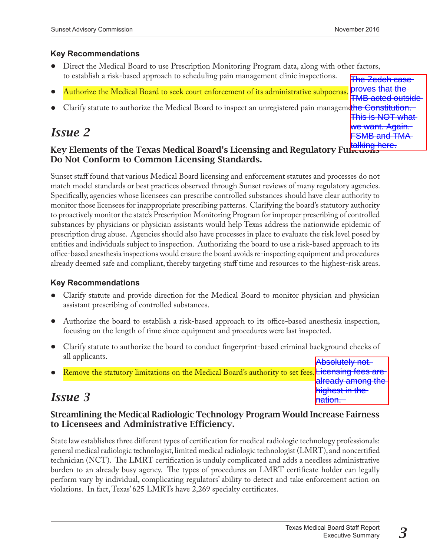#### **Key Recommendations**

- Direct the Medical Board to use Prescription Monitoring Program data, along with other factors, to establish a risk-based approach to scheduling pain management clinic inspections.
- Authorize the Medical Board to seek court enforcement of its administrative subpoenas
- Clarify statute to authorize the Medical Board to inspect an unregistered pain manageme<mark>the Constitution.</mark><br>This is NOT what

## *Issue 2*

## The Zedeh case proves that the TMB acted outside This is NOT what we want. Again. FSMB and TMA

### Key Elements of the Texas Medical Board's Licensing and Regulatory Fultions that Do Not Conform to Common Licensing Standards.

Sunset staff found that various Medical Board licensing and enforcement statutes and processes do not match model standards or best practices observed through Sunset reviews of many regulatory agencies. Specifically, agencies whose licensees can prescribe controlled substances should have clear authority to monitor those licensees for inappropriate prescribing patterns. Clarifying the board's statutory authority to proactively monitor the state's Prescription Monitoring Program for improper prescribing of controlled substances by physicians or physician assistants would help Texas address the nationwide epidemic of prescription drug abuse. Agencies should also have processes in place to evaluate the risk level posed by entities and individuals subject to inspection. Authorizing the board to use a risk-based approach to its office-based anesthesia inspections would ensure the board avoids re-inspecting equipment and procedures already deemed safe and compliant, thereby targeting staff time and resources to the highest-risk areas.

#### **Key Recommendations**

- Clarify statute and provide direction for the Medical Board to monitor physician and physician assistant prescribing of controlled substances.
- Authorize the board to establish a risk-based approach to its office-based anesthesia inspection, focusing on the length of time since equipment and procedures were last inspected.
- Clarify statute to authorize the board to conduct fingerprint-based criminal background checks of all applicants. Absolutely not.
- Remove the statutory limitations on the Medical Board's authority to set fees. Licensing fees are already among the

## *Issue 3*

#### Streamlining the Medical Radiologic Technology Program Would Increase Fairness to Licensees and Administrative Efficiency.

State law establishes three different types of certification for medical radiologic technology professionals: general medical radiologic technologist, limited medical radiologic technologist (LMRT), and noncertified technician (NCT). The LMRT certification is unduly complicated and adds a needless administrative burden to an already busy agency. The types of procedures an LMRT certificate holder can legally perform vary by individual, complicating regulators' ability to detect and take enforcement action on violations. In fact, Texas' 625 LMRTs have 2,269 specialty certificates.

already among the highest in the

<del>lnation.</del>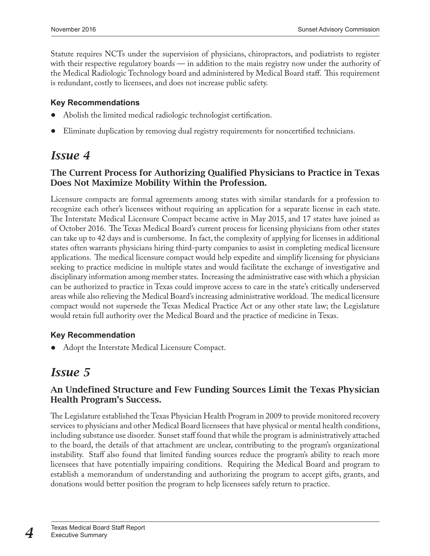Statute requires NCTs under the supervision of physicians, chiropractors, and podiatrists to register with their respective regulatory boards — in addition to the main registry now under the authority of the Medical Radiologic Technology board and administered by Medical Board staff. This requirement is redundant, costly to licensees, and does not increase public safety.

#### **Key Recommendations**

- Abolish the limited medical radiologic technologist certification.
- Eliminate duplication by removing dual registry requirements for noncertified technicians.

## *Issue 4*

#### The Current Process for Authorizing Qualified Physicians to Practice in Texas Does Not Maximize Mobility Within the Profession.

Licensure compacts are formal agreements among states with similar standards for a profession to recognize each other's licensees without requiring an application for a separate license in each state. The Interstate Medical Licensure Compact became active in May 2015, and 17 states have joined as of October 2016. The Texas Medical Board's current process for licensing physicians from other states can take up to 42 days and is cumbersome. In fact, the complexity of applying for licenses in additional states often warrants physicians hiring third-party companies to assist in completing medical licensure applications. The medical licensure compact would help expedite and simplify licensing for physicians seeking to practice medicine in multiple states and would facilitate the exchange of investigative and disciplinary information among member states. Increasing the administrative ease with which a physician can be authorized to practice in Texas could improve access to care in the state's critically underserved areas while also relieving the Medical Board's increasing administrative workload. The medical licensure compact would not supersede the Texas Medical Practice Act or any other state law; the Legislature would retain full authority over the Medical Board and the practice of medicine in Texas.

#### **Key Recommendation**

• Adopt the Interstate Medical Licensure Compact.

## *Issue 5*

#### An Undefined Structure and Few Funding Sources Limit the Texas Physician Health Program's Success.

The Legislature established the Texas Physician Health Program in 2009 to provide monitored recovery services to physicians and other Medical Board licensees that have physical or mental health conditions, including substance use disorder. Sunset staff found that while the program is administratively attached to the board, the details of that attachment are unclear, contributing to the program's organizational instability. Staff also found that limited funding sources reduce the program's ability to reach more licensees that have potentially impairing conditions. Requiring the Medical Board and program to establish a memorandum of understanding and authorizing the program to accept gifts, grants, and donations would better position the program to help licensees safely return to practice.